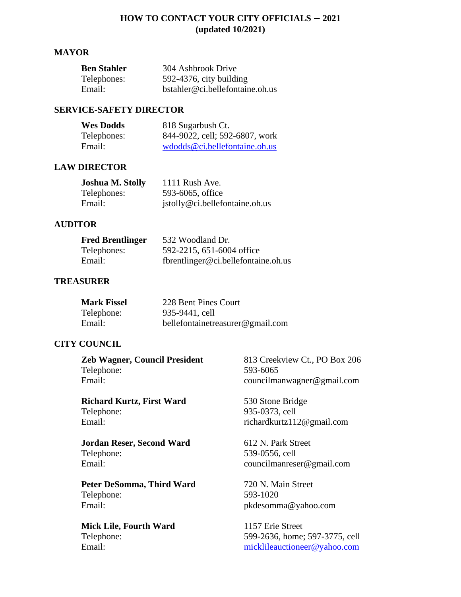## **HOW TO CONTACT YOUR CITY OFFICIALS – 2021 (updated 10/2021)**

#### **MAYOR**

| <b>Ben Stahler</b> | 304 Ashbrook Drive              |
|--------------------|---------------------------------|
| Telephones:        | $592-4376$ , city building      |
| Email:             | bstahler@ci.bellefontaine.oh.us |

## **SERVICE-SAFETY DIRECTOR**

| <b>Wes Dodds</b> | 818 Sugarbush Ct.                                                   |
|------------------|---------------------------------------------------------------------|
| Telephones:      | 844-9022, cell; 592-6807, work                                      |
| Email:           | $w\text{d} \text{od} \text{d} s \mathcal{Q}$ ci.bellefontaine.oh.us |

### **LAW DIRECTOR**

| <b>Joshua M. Stolly</b> | $1111$ Rush Ave.               |
|-------------------------|--------------------------------|
| Telephones:             | 593-6065, office               |
| Email:                  | jstolly@ci.bellefontaine.oh.us |

### **AUDITOR**

| <b>Fred Brentlinger</b> | 532 Woodland Dr.                    |
|-------------------------|-------------------------------------|
| Telephones:             | 592-2215, 651-6004 office           |
| Email:                  | fbrentlinger@ci.bellefontaine.oh.us |

### **TREASURER**

| <b>Mark Fissel</b> | 228 Bent Pines Court             |
|--------------------|----------------------------------|
| Telephone:         | 935-9441, cell                   |
| Email:             | bellefontainetreasurer@gmail.com |

# **CITY COUNCIL**

**Zeb Wagner, Council President** 813 Creekview Ct., PO Box 206 Telephone: 593-6065 Email: councilmanwagner@gmail.com

**Richard Kurtz, First Ward** 530 Stone Bridge<br>Telephone: 935-0373, cell Email: richardkurtz112@gmail.com

**Jordan Reser, Second Ward** 612 N. Park Street Telephone: 539-0556, cell Email: councilmanreser@gmail.com

Peter DeSomma, Third Ward 720 N. Main Street Telephone: 593-1020 Email: pkdesomma@yahoo.com

**Mick Lile, Fourth Ward** 1157 Erie Street

935-0373, cell

Telephone: 599-2636, home; 597-3775, cell Email: [micklileauctioneer@yahoo.com](mailto:micklileauctioneer@yahoo.com)